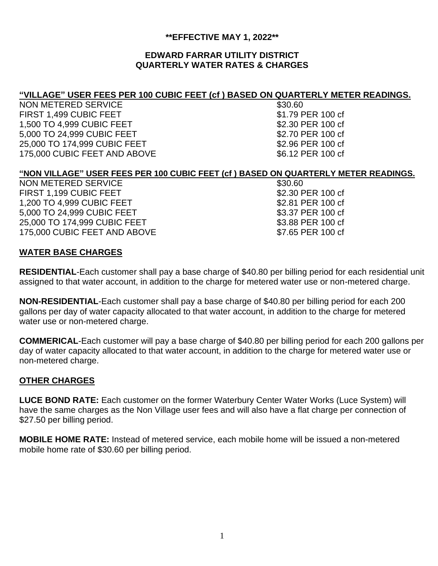## **\*\*EFFECTIVE MAY 1, 2022\*\***

## **EDWARD FARRAR UTILITY DISTRICT QUARTERLY WATER RATES & CHARGES**

# **"VILLAGE" USER FEES PER 100 CUBIC FEET (cf ) BASED ON QUARTERLY METER READINGS.**

NON METERED SERVICE **\$30.60** \$30.60 FIRST 1,499 CUBIC FEET \$1.79 PER 100 cf 1,500 TO 4,999 CUBIC FEET \$2.30 PER 100 cf 5,000 TO 24,999 CUBIC FEET \$2.70 PER 100 cf 25,000 TO 174,999 CUBIC FEET \$2.96 PER 100 cf 175,000 CUBIC FEET AND ABOVE \$6.12 PER 100 cf

# **"NON VILLAGE" USER FEES PER 100 CUBIC FEET (cf ) BASED ON QUARTERLY METER READINGS.**

NON METERED SERVICE **\$30.60** \$30.60 FIRST 1,199 CUBIC FEET \$2.30 PER 100 cf 1,200 TO 4,999 CUBIC FEET \$2.81 PER 100 cf<br>5.000 TO 24,999 CUBIC FEET \$3.37 PER 100 cf 5,000 TO 24,999 CUBIC FEET 25,000 TO 174,999 CUBIC FEET \$3.88 PER 100 cf 175,000 CUBIC FEET AND ABOVE \$7.65 PER 100 cf

# **WATER BASE CHARGES**

**RESIDENTIAL**-Each customer shall pay a base charge of \$40.80 per billing period for each residential unit assigned to that water account, in addition to the charge for metered water use or non-metered charge.

**NON-RESIDENTIAL**-Each customer shall pay a base charge of \$40.80 per billing period for each 200 gallons per day of water capacity allocated to that water account, in addition to the charge for metered water use or non-metered charge.

**COMMERICAL**-Each customer will pay a base charge of \$40.80 per billing period for each 200 gallons per day of water capacity allocated to that water account, in addition to the charge for metered water use or non-metered charge.

# **OTHER CHARGES**

**LUCE BOND RATE:** Each customer on the former Waterbury Center Water Works (Luce System) will have the same charges as the Non Village user fees and will also have a flat charge per connection of \$27.50 per billing period.

**MOBILE HOME RATE:** Instead of metered service, each mobile home will be issued a non-metered mobile home rate of \$30.60 per billing period.